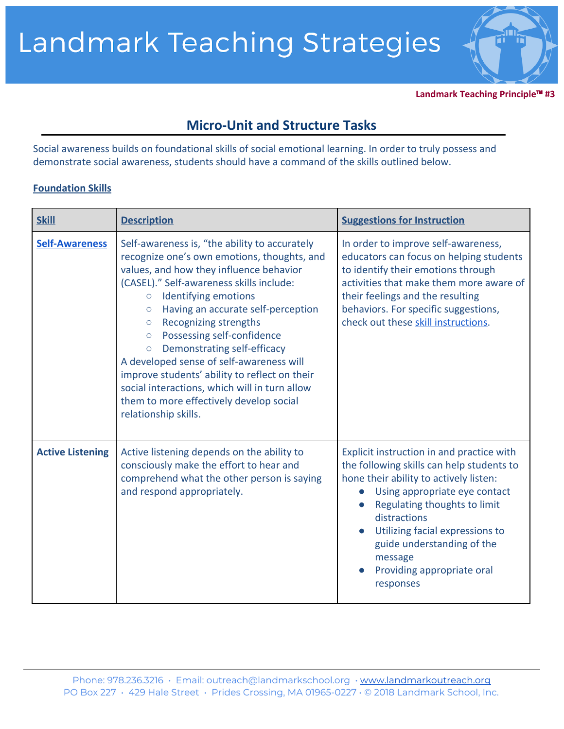

**Landmark Teaching Principle**™ **#3**

## **Micro-Unit and Structure Tasks**

Social awareness builds on foundational skills of social emotional learning. In order to truly possess and demonstrate social awareness, students should have a command of the skills outlined below.

## **Foundation Skills**

| <b>Skill</b>            | <b>Description</b>                                                                                                                                                                                                                                                                                                                                                                                                                                                                                                                                                                                              | <b>Suggestions for Instruction</b>                                                                                                                                                                                                                                                                                                       |
|-------------------------|-----------------------------------------------------------------------------------------------------------------------------------------------------------------------------------------------------------------------------------------------------------------------------------------------------------------------------------------------------------------------------------------------------------------------------------------------------------------------------------------------------------------------------------------------------------------------------------------------------------------|------------------------------------------------------------------------------------------------------------------------------------------------------------------------------------------------------------------------------------------------------------------------------------------------------------------------------------------|
| <b>Self-Awareness</b>   | Self-awareness is, "the ability to accurately<br>recognize one's own emotions, thoughts, and<br>values, and how they influence behavior<br>(CASEL)." Self-awareness skills include:<br>Identifying emotions<br>$\circ$<br>Having an accurate self-perception<br>$\circ$<br>Recognizing strengths<br>$\circ$<br>Possessing self-confidence<br>$\circ$<br>Demonstrating self-efficacy<br>$\circ$<br>A developed sense of self-awareness will<br>improve students' ability to reflect on their<br>social interactions, which will in turn allow<br>them to more effectively develop social<br>relationship skills. | In order to improve self-awareness,<br>educators can focus on helping students<br>to identify their emotions through<br>activities that make them more aware of<br>their feelings and the resulting<br>behaviors. For specific suggestions,<br>check out these skill instructions.                                                       |
| <b>Active Listening</b> | Active listening depends on the ability to<br>consciously make the effort to hear and<br>comprehend what the other person is saying<br>and respond appropriately.                                                                                                                                                                                                                                                                                                                                                                                                                                               | Explicit instruction in and practice with<br>the following skills can help students to<br>hone their ability to actively listen:<br>Using appropriate eye contact<br>Regulating thoughts to limit<br>distractions<br>Utilizing facial expressions to<br>guide understanding of the<br>message<br>Providing appropriate oral<br>responses |